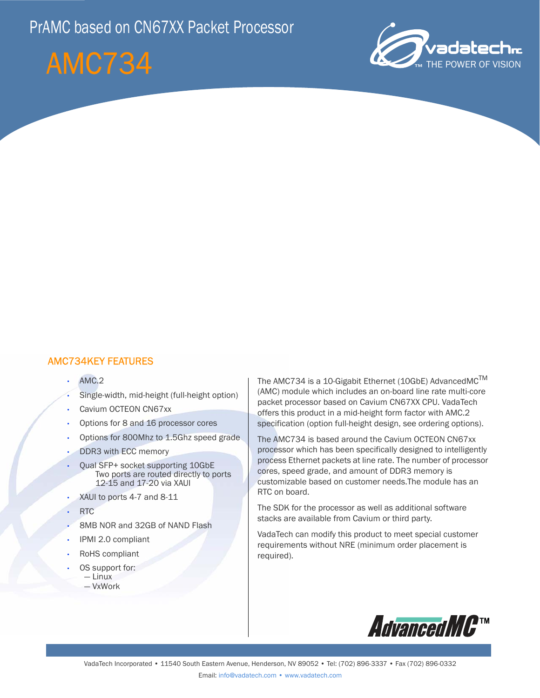# AMC734



# AMC734KEY FEATURES

- AMC.2
- Single-width, mid-height (full-height option)
- Cavium OCTEON CN67xx
- Options for 8 and 16 processor cores
- Options for 800Mhz to 1.5Ghz speed grade
- DDR3 with ECC memory
- Qual SFP+ socket supporting 10GbE Two ports are routed directly to ports 12-15 and 17-20 via XAUI
- XAUI to ports 4-7 and 8-11
- RTC
- 8MB NOR and 32GB of NAND Flash
- IPMI 2.0 compliant
- RoHS compliant
- OS support for: — Linux
	- VxWork

The AMC734 is a 10-Gigabit Ethernet (10GbE) AdvancedMC<sup>™</sup> (AMC) module which includes an on-board line rate multi-core packet processor based on Cavium CN67XX CPU. VadaTech offers this product in a mid-height form factor with AMC.2 specification (option full-height design, see ordering options).

The AMC734 is based around the Cavium OCTEON CN67xx processor which has been specifically designed to intelligently process Ethernet packets at line rate. The number of processor cores, speed grade, and amount of DDR3 memory is customizable based on customer needs.The module has an RTC on board.

The SDK for the processor as well as additional software stacks are available from Cavium or third party.

VadaTech can modify this product to meet special customer requirements without NRE (minimum order placement is required).

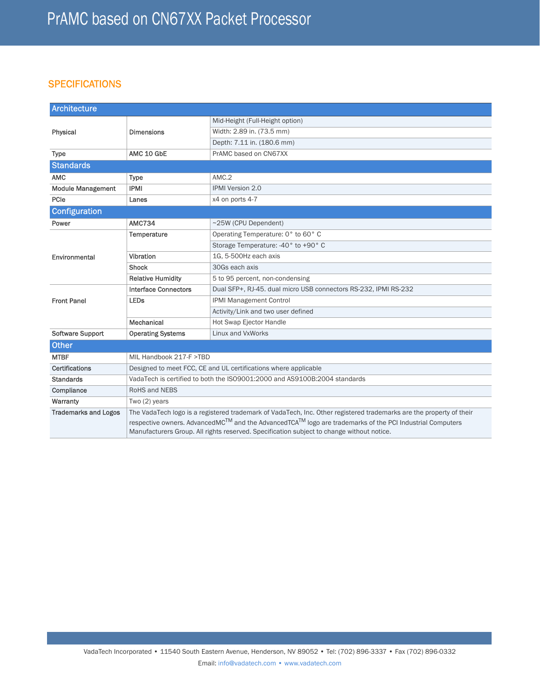# **SPECIFICATIONS**

| <b>Architecture</b>         |                                                                                                                                                                                                                                |                                                                 |
|-----------------------------|--------------------------------------------------------------------------------------------------------------------------------------------------------------------------------------------------------------------------------|-----------------------------------------------------------------|
| Physical                    | <b>Dimensions</b>                                                                                                                                                                                                              | Mid-Height (Full-Height option)                                 |
|                             |                                                                                                                                                                                                                                | Width: 2.89 in. (73.5 mm)                                       |
|                             |                                                                                                                                                                                                                                | Depth: 7.11 in. (180.6 mm)                                      |
| <b>Type</b>                 | AMC 10 GbE                                                                                                                                                                                                                     | PrAMC based on CN67XX                                           |
| <b>Standards</b>            |                                                                                                                                                                                                                                |                                                                 |
| <b>AMC</b>                  | <b>Type</b>                                                                                                                                                                                                                    | AMC <sub>2</sub>                                                |
| <b>Module Management</b>    | <b>IPMI</b>                                                                                                                                                                                                                    | <b>IPMI Version 2.0</b>                                         |
| PCIe                        | Lanes                                                                                                                                                                                                                          | x4 on ports 4-7                                                 |
| <b>Configuration</b>        |                                                                                                                                                                                                                                |                                                                 |
| Power                       | <b>AMC734</b>                                                                                                                                                                                                                  | ~25W (CPU Dependent)                                            |
| Environmental               | Temperature                                                                                                                                                                                                                    | Operating Temperature: 0° to 60° C                              |
|                             |                                                                                                                                                                                                                                | Storage Temperature: -40° to +90° C                             |
|                             | Vibration                                                                                                                                                                                                                      | 1G, 5-500Hz each axis                                           |
|                             | <b>Shock</b>                                                                                                                                                                                                                   | 30Gs each axis                                                  |
|                             | <b>Relative Humidity</b>                                                                                                                                                                                                       | 5 to 95 percent, non-condensing                                 |
| <b>Front Panel</b>          | <b>Interface Connectors</b>                                                                                                                                                                                                    | Dual SFP+, RJ-45. dual micro USB connectors RS-232, IPMI RS-232 |
|                             | <b>LEDs</b>                                                                                                                                                                                                                    | <b>IPMI Management Control</b>                                  |
|                             |                                                                                                                                                                                                                                | Activity/Link and two user defined                              |
|                             | Mechanical                                                                                                                                                                                                                     | Hot Swap Ejector Handle                                         |
| Software Support            | <b>Operating Systems</b>                                                                                                                                                                                                       | Linux and VxWorks                                               |
| <b>Other</b>                |                                                                                                                                                                                                                                |                                                                 |
| <b>MTBF</b>                 | MIL Handbook 217-F >TBD                                                                                                                                                                                                        |                                                                 |
| <b>Certifications</b>       | Designed to meet FCC, CE and UL certifications where applicable                                                                                                                                                                |                                                                 |
| <b>Standards</b>            | VadaTech is certified to both the ISO9001:2000 and AS9100B:2004 standards                                                                                                                                                      |                                                                 |
| Compliance                  | RoHS and NEBS                                                                                                                                                                                                                  |                                                                 |
| Warranty                    | Two (2) years                                                                                                                                                                                                                  |                                                                 |
| <b>Trademarks and Logos</b> | The VadaTech logo is a registered trademark of VadaTech, Inc. Other registered trademarks are the property of their                                                                                                            |                                                                 |
|                             | respective owners. AdvancedMC <sup>TM</sup> and the AdvancedTCA <sup>TM</sup> logo are trademarks of the PCI Industrial Computers<br>Manufacturers Group. All rights reserved. Specification subject to change without notice. |                                                                 |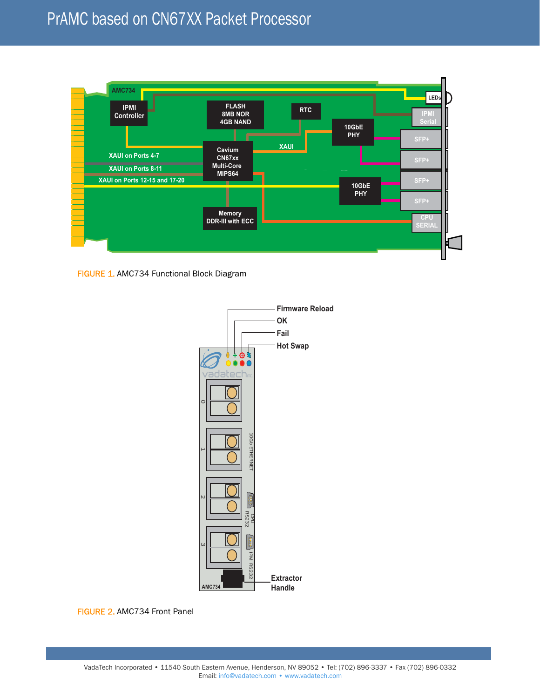

FIGURE 1. AMC734 Functional Block Diagram



FIGURE 2. AMC734 Front Panel